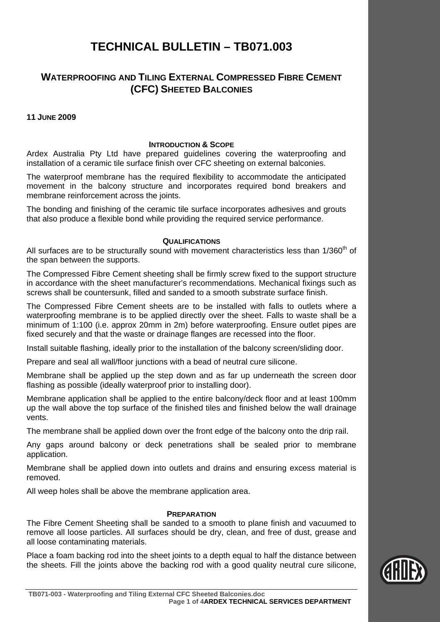# **TECHNICAL BULLETIN – TB071.003**

## **WATERPROOFING AND TILING EXTERNAL COMPRESSED FIBRE CEMENT (CFC) SHEETED BALCONIES**

## **11 JUNE 2009**

### **INTRODUCTION & SCOPE**

Ardex Australia Pty Ltd have prepared guidelines covering the waterproofing and installation of a ceramic tile surface finish over CFC sheeting on external balconies.

The waterproof membrane has the required flexibility to accommodate the anticipated movement in the balcony structure and incorporates required bond breakers and membrane reinforcement across the joints.

The bonding and finishing of the ceramic tile surface incorporates adhesives and grouts that also produce a flexible bond while providing the required service performance.

### **QUALIFICATIONS**

All surfaces are to be structurally sound with movement characteristics less than  $1/360<sup>th</sup>$  of the span between the supports.

The Compressed Fibre Cement sheeting shall be firmly screw fixed to the support structure in accordance with the sheet manufacturer's recommendations. Mechanical fixings such as screws shall be countersunk, filled and sanded to a smooth substrate surface finish.

The Compressed Fibre Cement sheets are to be installed with falls to outlets where a waterproofing membrane is to be applied directly over the sheet. Falls to waste shall be a minimum of 1:100 (i.e. approx 20mm in 2m) before waterproofing. Ensure outlet pipes are fixed securely and that the waste or drainage flanges are recessed into the floor.

Install suitable flashing, ideally prior to the installation of the balcony screen/sliding door.

Prepare and seal all wall/floor junctions with a bead of neutral cure silicone.

Membrane shall be applied up the step down and as far up underneath the screen door flashing as possible (ideally waterproof prior to installing door).

Membrane application shall be applied to the entire balcony/deck floor and at least 100mm up the wall above the top surface of the finished tiles and finished below the wall drainage vents.

The membrane shall be applied down over the front edge of the balcony onto the drip rail.

Any gaps around balcony or deck penetrations shall be sealed prior to membrane application.

Membrane shall be applied down into outlets and drains and ensuring excess material is removed.

All weep holes shall be above the membrane application area.

## **PREPARATION**

The Fibre Cement Sheeting shall be sanded to a smooth to plane finish and vacuumed to remove all loose particles. All surfaces should be dry, clean, and free of dust, grease and all loose contaminating materials.

Place a foam backing rod into the sheet joints to a depth equal to half the distance between the sheets. Fill the joints above the backing rod with a good quality neutral cure silicone,

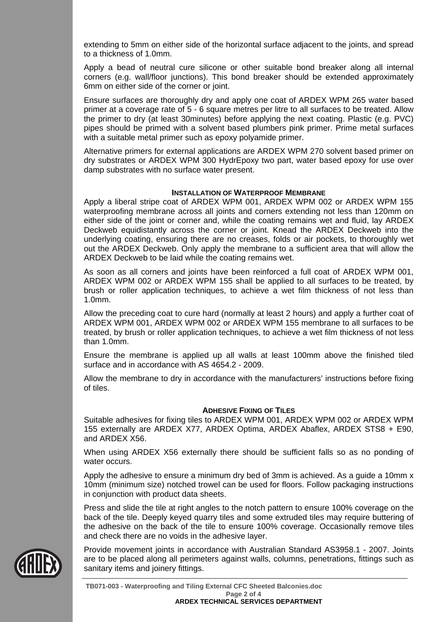extending to 5mm on either side of the horizontal surface adjacent to the joints, and spread to a thickness of 1.0mm.

Apply a bead of neutral cure silicone or other suitable bond breaker along all internal corners (e.g. wall/floor junctions). This bond breaker should be extended approximately 6mm on either side of the corner or joint.

Ensure surfaces are thoroughly dry and apply one coat of ARDEX WPM 265 water based primer at a coverage rate of 5 - 6 square metres per litre to all surfaces to be treated. Allow the primer to dry (at least 30minutes) before applying the next coating. Plastic (e.g. PVC) pipes should be primed with a solvent based plumbers pink primer. Prime metal surfaces with a suitable metal primer such as epoxy polyamide primer.

Alternative primers for external applications are ARDEX WPM 270 solvent based primer on dry substrates or ARDEX WPM 300 HydrEpoxy two part, water based epoxy for use over damp substrates with no surface water present.

#### **INSTALLATION OF WATERPROOF MEMBRANE**

Apply a liberal stripe coat of ARDEX WPM 001, ARDEX WPM 002 or ARDEX WPM 155 waterproofing membrane across all joints and corners extending not less than 120mm on either side of the joint or corner and, while the coating remains wet and fluid, lay ARDEX Deckweb equidistantly across the corner or joint. Knead the ARDEX Deckweb into the underlying coating, ensuring there are no creases, folds or air pockets, to thoroughly wet out the ARDEX Deckweb. Only apply the membrane to a sufficient area that will allow the ARDEX Deckweb to be laid while the coating remains wet.

As soon as all corners and joints have been reinforced a full coat of ARDEX WPM 001, ARDEX WPM 002 or ARDEX WPM 155 shall be applied to all surfaces to be treated, by brush or roller application techniques, to achieve a wet film thickness of not less than 1.0mm.

Allow the preceding coat to cure hard (normally at least 2 hours) and apply a further coat of ARDEX WPM 001, ARDEX WPM 002 or ARDEX WPM 155 membrane to all surfaces to be treated, by brush or roller application techniques, to achieve a wet film thickness of not less than 1.0mm.

Ensure the membrane is applied up all walls at least 100mm above the finished tiled surface and in accordance with AS 4654.2 - 2009.

Allow the membrane to dry in accordance with the manufacturers' instructions before fixing of tiles.

## **ADHESIVE FIXING OF TILES**

Suitable adhesives for fixing tiles to ARDEX WPM 001, ARDEX WPM 002 or ARDEX WPM 155 externally are ARDEX X77, ARDEX Optima, ARDEX Abaflex, ARDEX STS8 + E90, and ARDEX X56.

When using ARDEX X56 externally there should be sufficient falls so as no ponding of water occurs.

Apply the adhesive to ensure a minimum dry bed of 3mm is achieved. As a guide a 10mm x 10mm (minimum size) notched trowel can be used for floors. Follow packaging instructions in conjunction with product data sheets.

Press and slide the tile at right angles to the notch pattern to ensure 100% coverage on the back of the tile. Deeply keyed quarry tiles and some extruded tiles may require buttering of the adhesive on the back of the tile to ensure 100% coverage. Occasionally remove tiles and check there are no voids in the adhesive layer.

Provide movement joints in accordance with Australian Standard AS3958.1 - 2007. Joints are to be placed along all perimeters against walls, columns, penetrations, fittings such as sanitary items and joinery fittings.

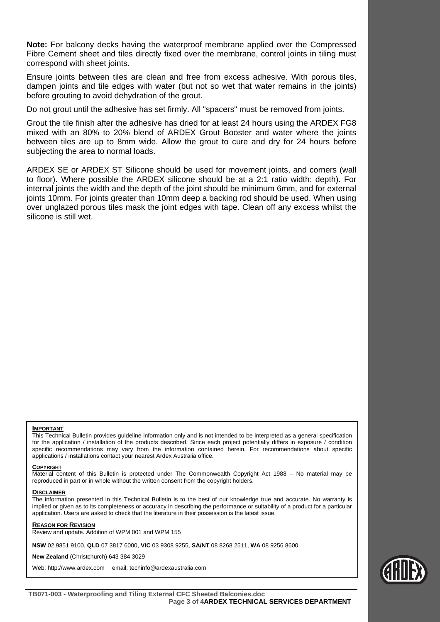**Note:** For balcony decks having the waterproof membrane applied over the Compressed Fibre Cement sheet and tiles directly fixed over the membrane, control joints in tiling must correspond with sheet joints.

Ensure joints between tiles are clean and free from excess adhesive. With porous tiles, dampen joints and tile edges with water (but not so wet that water remains in the joints) before grouting to avoid dehydration of the grout.

Do not grout until the adhesive has set firmly. All "spacers" must be removed from joints.

Grout the tile finish after the adhesive has dried for at least 24 hours using the ARDEX FG8 mixed with an 80% to 20% blend of ARDEX Grout Booster and water where the joints between tiles are up to 8mm wide. Allow the grout to cure and dry for 24 hours before subjecting the area to normal loads.

ARDEX SE or ARDEX ST Silicone should be used for movement joints, and corners (wall to floor). Where possible the ARDEX silicone should be at a 2:1 ratio width: depth). For internal joints the width and the depth of the joint should be minimum 6mm, and for external joints 10mm. For joints greater than 10mm deep a backing rod should be used. When using over unglazed porous tiles mask the joint edges with tape. Clean off any excess whilst the silicone is still wet.

#### **IMPORTANT**

This Technical Bulletin provides guideline information only and is not intended to be interpreted as a general specification for the application / installation of the products described. Since each project potentially differs in exposure / condition specific recommendations may vary from the information contained herein. For recommendations about specific applications / installations contact your nearest Ardex Australia office.

#### **COPYRIGHT**

Material content of this Bulletin is protected under The Commonwealth Copyright Act 1988 – No material may be reproduced in part or in whole without the written consent from the copyright holders.

#### **DISCLAIMER**

The information presented in this Technical Bulletin is to the best of our knowledge true and accurate. No warranty is implied or given as to its completeness or accuracy in describing the performance or suitability of a product for a particular application. Users are asked to check that the literature in their possession is the latest issue.

#### **REASON FOR REVISION**

Review and update. Addition of WPM 001 and WPM 155

**NSW** 02 9851 9100, **QLD** 07 3817 6000, **VIC** 03 9308 9255, **SA/NT** 08 8268 2511, **WA** 08 9256 8600

**New Zealand** (Christchurch) 643 384 3029

Web: http://www.ardex.com email: techinfo@ardexaustralia.com